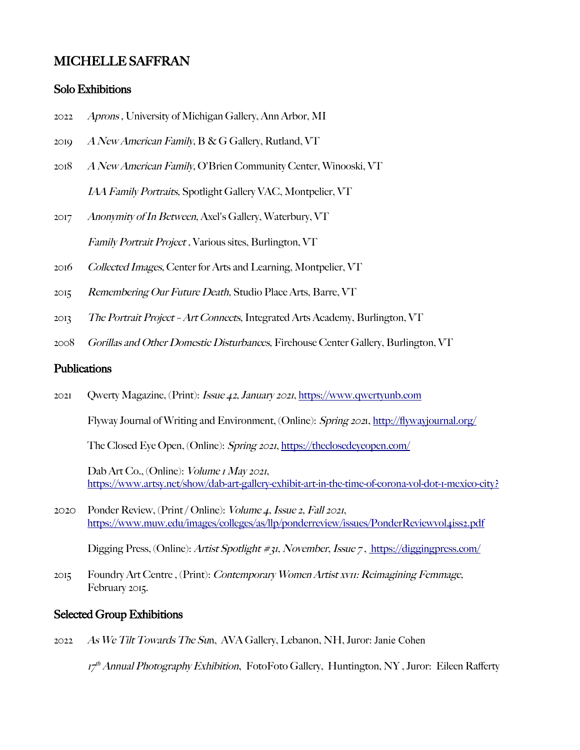## MICHELLE SAFFRAN

#### Solo Exhibitions

- 2022 Aprons , University of Michigan Gallery, Ann Arbor, MI
- 2019 A New American Family, B & G Gallery, Rutland, VT
- 2018 A New American Family, O'Brien Community Center, Winooski, VT IAA Family Portraits, Spotlight Gallery VAC, Montpelier, VT
- 2017 Anonymity of In Between, Axel's Gallery, Waterbury, VT Family Portrait Project , Various sites, Burlington, VT
- 2016 Collected Images, Center for Arts and Learning, Montpelier, VT
- 2015 Remembering Our Future Death, Studio Place Arts, Barre, VT
- 2013 The Portrait Project Art Connects, Integrated Arts Academy, Burlington, VT
- 2008 Gorillas and Other Domestic Disturbances, Firehouse Center Gallery, Burlington, VT

#### Publications

2021 Qwerty Magazine, (Print): Issue 42, January 2021, [https://www.qwertyunb.com](https://www.qwertyunb.com/)

Flyway Journal of Writing and Environment, (Online): Spring 2021, [http://fywayjournal.org/](http://flywayjournal.org/)

The Closed Eye Open, (Online): Spring 2021,<https://theclosedeyeopen.com/>

Dab Art Co., (Online): *Volume 1 May 2021*, <https://www.artsy.net/show/dab-art-gallery-exhibit-art-in-the-time-of-corona-vol-dot-1-mexico-city>[?](https://www.artsy.net/show/dab-art-gallery-exhibit-art-in-the-time-of-corona-vol-dot-1-mexico-city?sort=partner_show_position)

2020 Ponder Review, (Print / Online): Volume 4, Issue 2, Fall 2021, <https://www.muw.edu/images/colleges/as/llp/ponderreview/issues/PonderReviewvol4iss2.pdf>

Digging Press, (Online): Artist Spotlight #31, November, Issue 7, [https://diggingpress.com/](https://diggingpress.com/2020/11/30/michelle-saffran-artist-spotlight-no-31/)

2015 Foundry Art Centre , (Print): Contemporary Women Artist xv11: Reimagining Femmage, February 2015.

#### Selected Group Exhibitions

2022 As We Tilt Towards The Sun, AVA Gallery, Lebanon, NH, Juror: Janie Cohen

17<sup>th</sup> Annual Photography Exhibition, FotoFoto Gallery, Huntington, NY, Juror: Eileen Rafferty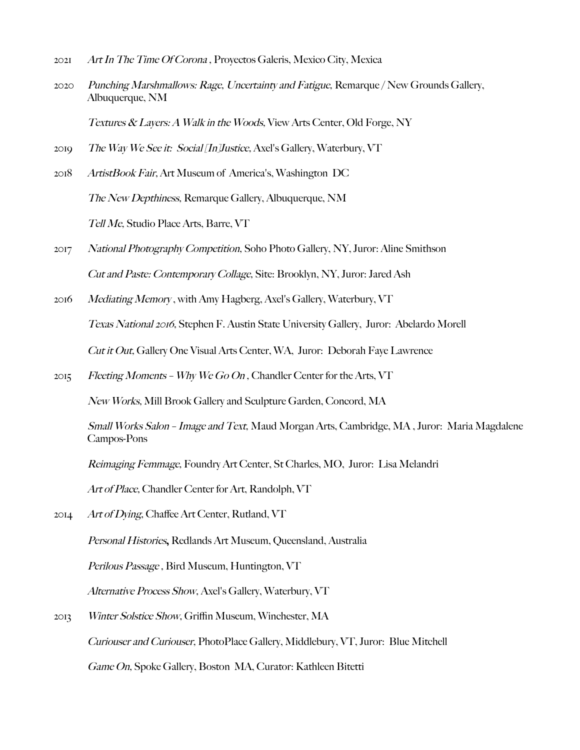- 2021 Art In The Time Of Corona , Proyectos Galeris, Mexico City, Mexica
- 2020 Punching Marshmallows: Rage, Uncertainty and Fatigue, Remarque / New Grounds Gallery, Albuquerque, NM

Textures & Layers: A Walk in the Woods, View Arts Center, Old Forge, NY

- 2019 The Way We See it: Social [In]Justice, Axel's Gallery, Waterbury, VT
- 2018 ArtistBook Fair, Art Museum of America's, Washington DC The New Depthiness, Remarque Gallery, Albuquerque, NM Tell Me, Studio Place Arts, Barre, VT
- 2017 National Photography Competition, Soho Photo Gallery, NY, Juror: Aline Smithson Cut and Paste: Contemporary Collage, Site: Brooklyn, NY, Juror: Jared Ash
- 2016 Mediating Memory , with Amy Hagberg, Axel's Gallery, Waterbury, VT Texas National 2016, Stephen F. Austin State University Gallery, Juror: Abelardo Morell Cut it Out, Gallery One Visual Arts Center, WA, Juror: Deborah Faye Lawrence
- 2015 Fleeting Moments Why We Go On, Chandler Center for the Arts, VT

New Works, Mill Brook Gallery and Sculpture Garden, Concord, MA

Small Works Salon - Image and Text, Maud Morgan Arts, Cambridge, MA, Juror: Maria Magdalene Campos-Pons

Reimaging Femmage, Foundry Art Center, St Charles, MO, Juror: Lisa Melandri

Art of Place, Chandler Center for Art, Randolph, VT

- 2014 Art of Dying, Chaffee Art Center, Rutland, VT Personal Histories, Redlands Art Museum, Queensland, Australia Perilous Passage, Bird Museum, Huntington, VT Alternative Process Show, Axel's Gallery, Waterbury, VT 2013 Winter Solstice Show, Grifn Museum, Winchester, MA
	- Curiouser and Curiouser, PhotoPlace Gallery, Middlebury, VT, Juror: Blue Mitchell

Game On, Spoke Gallery, Boston MA, Curator: Kathleen Bitetti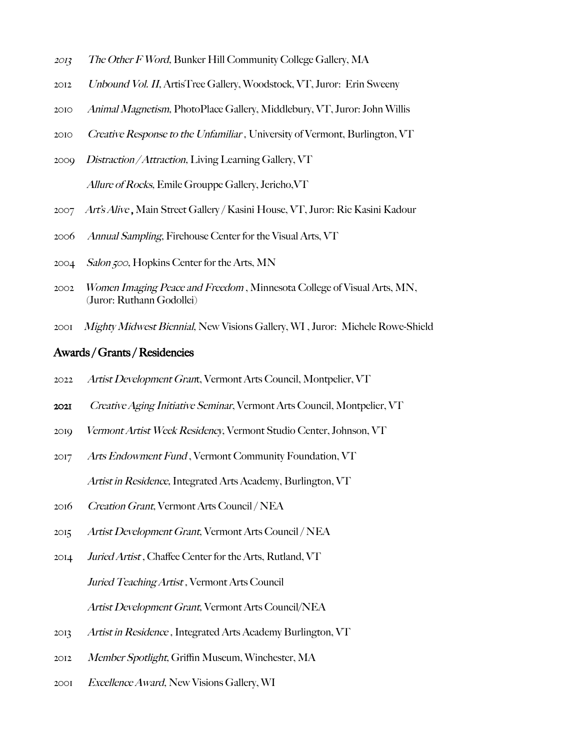- The Other F Word, Bunker Hill Community College Gallery, MA
- Unbound Vol. II, ArtisTree Gallery, Woodstock, VT, Juror: Erin Sweeny
- Animal Magnetism, PhotoPlace Gallery, Middlebury, VT, Juror: John Willis
- 2010 Creative Response to the Unfamiliar, University of Vermont, Burlington, VT
- *Distraction / Attraction*, Living Learning Gallery, VT Allure of Rocks, Emile Grouppe Gallery, Jericho, VT
- Art's Alive , Main Street Gallery / Kasini House, VT, Juror: Ric Kasini Kadour
- Annual Sampling, Firehouse Center for the Visual Arts, VT
- 2004 Salon 500, Hopkins Center for the Arts, MN
- Women Imaging Peace and Freedom , Minnesota College of Visual Arts, MN, (Juror: Ruthann Godollei)
- *Mighty Midwest Biennial*, New Visions Gallery, WI, Juror: Michele Rowe-Shield

#### Awards / Grants / Residencies

- Artist Development Grant, Vermont Arts Council, Montpelier, VT
- Creative Aging Initiative Seminar, Vermont Arts Council, Montpelier, VT
- Vermont Artist Week Residency, Vermont Studio Center, Johnson, VT
- Arts Endowment Fund , Vermont Community Foundation, VT Artist in Residence, Integrated Arts Academy, Burlington, VT
- Creation Grant, Vermont Arts Council / NEA
- Artist Development Grant, Vermont Arts Council / NEA
- Juried Artist , Chafee Center for the Arts, Rutland, VT Juried Teaching Artist , Vermont Arts Council Artist Development Grant, Vermont Arts Council/NEA
- Artist in Residence , Integrated Arts Academy Burlington, VT
- Member Spotlight, Grifn Museum, Winchester, MA
- Excellence Award, New Visions Gallery, WI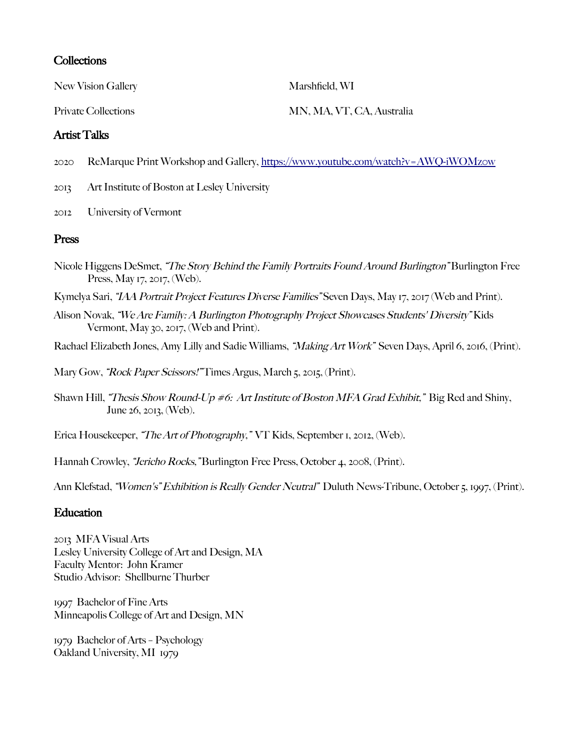#### **Collections**

New Vision Gallery Marshfield, WI

#### Artist Talks

2020 ReMarque Print Workshop and Gallery,<https://www.youtube.com/watch?v=AWQ->[iWOMz0w](https://www.youtube.com/watch?v=AWQ-iWOMz0w)

2013 Art Institute of Boston at Lesley University

2012 University of Vermont

### Press

- Nicole Higgens DeSmet, "The Story Behind the Family Portraits Found Around Burlington" Burlington Free Press, May 17, 2017, (Web).
- Kymelya Sari, "IAA Portrait Project Features Diverse Families" Seven Days, May 17, 2017 (Web and Print).
- Alison Novak, "We Are Family: A Burlington Photography Project Showcases Students' Diversity" Kids Vermont, May 30, 2017, (Web and Print).

Rachael Elizabeth Jones, Amy Lilly and Sadie Williams, "Making Art Work" Seven Days, April 6, 2016, (Print).

Mary Gow, "Rock Paper Scissors!" Times Argus, March 5, 2015, (Print).

Shawn Hill, "Thesis Show Round-Up #6: Art Institute of Boston MFA Grad Exhibit," Big Red and Shiny, June 26, 2013, (Web).

Erica Housekeeper, "The Art of Photography," VT Kids, September 1, 2012, (Web).

Hannah Crowley, "Jericho Rocks, "Burlington Free Press, October 4, 2008, (Print).

Ann Klefstad, "Women's" Exhibition is Really Gender Neutral" Duluth News-Tribune, October 5, 1997, (Print).

#### **Education**

2013 MFA Visual Arts Lesley University College of Art and Design, MA Faculty Mentor: John Kramer Studio Advisor: Shellburne Thurber

1997 Bachelor of Fine Arts Minneapolis College of Art and Design, MN

1979 Bachelor of Arts – Psychology Oakland University, MI 1979

Private Collections MN, MA, VT, CA, Australia